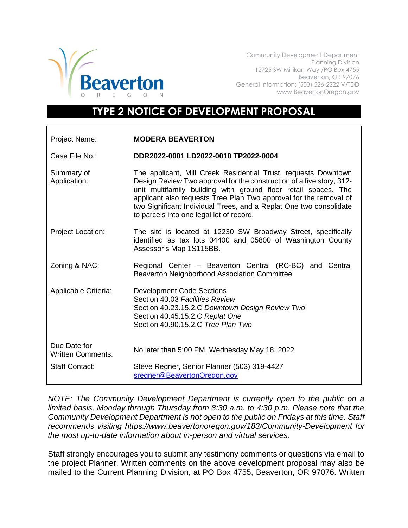

Community Development Department Planning Division 12725 SW Millikan Way /PO Box 4755 Beaverton, OR 97076 General Information: (503) 526-2222 V/TDD www.BeavertonOregon.gov

## **TYPE 2 NOTICE OF DEVELOPMENT PROPOSAL**

| Project Name:                            | <b>MODERA BEAVERTON</b>                                                                                                                                                                                                                                                                                                                                                                          |
|------------------------------------------|--------------------------------------------------------------------------------------------------------------------------------------------------------------------------------------------------------------------------------------------------------------------------------------------------------------------------------------------------------------------------------------------------|
| Case File No.:                           | DDR2022-0001 LD2022-0010 TP2022-0004                                                                                                                                                                                                                                                                                                                                                             |
| Summary of<br>Application:               | The applicant, Mill Creek Residential Trust, requests Downtown<br>Design Review Two approval for the construction of a five story, 312-<br>unit multifamily building with ground floor retail spaces. The<br>applicant also requests Tree Plan Two approval for the removal of<br>two Significant Individual Trees, and a Replat One two consolidate<br>to parcels into one legal lot of record. |
| <b>Project Location:</b>                 | The site is located at 12230 SW Broadway Street, specifically<br>identified as tax lots 04400 and 05800 of Washington County<br>Assessor's Map 1S115BB.                                                                                                                                                                                                                                          |
| Zoning & NAC:                            | Regional Center - Beaverton Central (RC-BC) and Central<br>Beaverton Neighborhood Association Committee                                                                                                                                                                                                                                                                                          |
| Applicable Criteria:                     | <b>Development Code Sections</b><br>Section 40.03 Facilities Review<br>Section 40.23.15.2.C Downtown Design Review Two<br>Section 40.45.15.2.C Replat One<br>Section 40.90.15.2.C Tree Plan Two                                                                                                                                                                                                  |
| Due Date for<br><b>Written Comments:</b> | No later than 5:00 PM, Wednesday May 18, 2022                                                                                                                                                                                                                                                                                                                                                    |
| <b>Staff Contact:</b>                    | Steve Regner, Senior Planner (503) 319-4427<br>sregner@BeavertonOregon.gov                                                                                                                                                                                                                                                                                                                       |

*NOTE: The Community Development Department is currently open to the public on a limited basis, Monday through Thursday from 8:30 a.m. to 4:30 p.m. Please note that the Community Development Department is not open to the public on Fridays at this time. Staff recommends visiting https://www.beavertonoregon.gov/183/Community-Development for the most up-to-date information about in-person and virtual services.* 

Staff strongly encourages you to submit any testimony comments or questions via email to the project Planner. Written comments on the above development proposal may also be mailed to the Current Planning Division, at PO Box 4755, Beaverton, OR 97076. Written